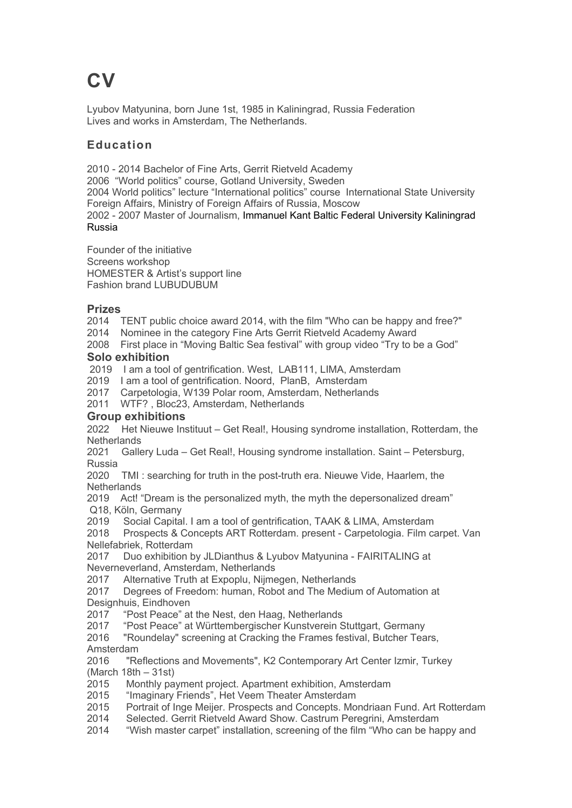# **CV**

Lyubov Matyunina, born June 1st, 1985 in Kaliningrad, Russia Federation Lives and works in Amsterdam, The Netherlands.

# **Education**

2010 - 2014 Bachelor of Fine Arts, Gerrit Rietveld Academy 2006 "World politics" course, Gotland University, Sweden 2004 World politics" lecture "International politics" course International State University

Foreign Affairs, Ministry of Foreign Affairs of Russia, Moscow

2002 - 2007 Master of Journalism, Immanuel Kant Baltic Federal University Kaliningrad Russia

Founder of the initiative Screens workshop HOMESTER & Artist's support line Fashion brand LUBUDUBUM

# **Prizes**

2014 TENT public choice award 2014, with the film "Who can be happy and free?"

2014 Nominee in the category Fine Arts Gerrit Rietveld Academy Award

2008 First place in "Moving Baltic Sea festival" with group video "Try to be a God" **Solo exhibition**

2019 I am a tool of gentrification. West, LAB111, LIMA, Amsterdam

2019 I am a tool of gentrification. Noord, PlanB, Amsterdam

2017 Carpetologia, W139 Polar room, Amsterdam, Netherlands

2011 WTF? , Bloc23, Amsterdam, Netherlands

# **Group exhibitions**

2022 Het Nieuwe Instituut – Get Real!, Housing syndrome installation, Rotterdam, the **Netherlands** 

2021 Gallery Luda – Get Real!, Housing syndrome installation. Saint – Petersburg, Russia

2020 TMI : searching for truth in the post-truth era. Nieuwe Vide, Haarlem, the **Netherlands** 

2019 Act! "Dream is the personalized myth, the myth the depersonalized dream" Q18, Köln, Germany

2019 Social Capital. I am a tool of gentrification, TAAK & LIMA, Amsterdam

2018 Prospects & Concepts ART Rotterdam. present - Carpetologia. Film carpet. Van Nellefabriek, Rotterdam

2017 Duo exhibition by JLDianthus & Lyubov Matyunina - FAIRITALING at Neverneverland, Amsterdam, Netherlands

2017 Alternative Truth at Expoplu, Nijmegen, Netherlands

2017 Degrees of Freedom: human, Robot and The Medium of Automation at Designhuis, Eindhoven

2017 "Post Peace" at the Nest, den Haag, Netherlands

2017 "Post Peace" at Württembergischer Kunstverein Stuttgart, Germany

2016 "Roundelay" screening at Cracking the Frames festival, Butcher Tears, Amsterdam

2016 "Reflections and Movements", K2 Contemporary Art Center Izmir, Turkey (March 18th – 31st)

2015 Monthly payment project. Apartment exhibition, Amsterdam

2015 "Imaginary Friends", Het Veem Theater Amsterdam

2015 Portrait of Inge Meijer. Prospects and Concepts. Mondriaan Fund. Art Rotterdam

2014 Selected. Gerrit Rietveld Award Show. Castrum Peregrini, Amsterdam

2014 "Wish master carpet" installation, screening of the film "Who can be happy and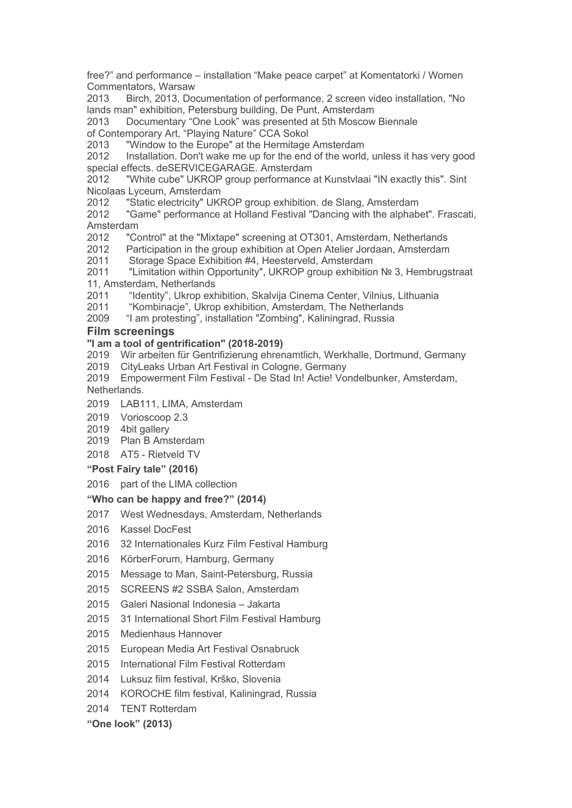free?" and performance – installation "Make peace carpet" at Komentatorki / Women Commentators, Warsaw

 Birch, 2013, Documentation of performance, 2 screen video installation, "No lands man" exhibition, Petersburg building, De Punt, Amsterdam

Documentary "One Look" was presented at 5th Moscow Biennale

of Contemporary Art, "Playing Nature" CCA Sokol

"Window to the Europe" at the Hermitage Amsterdam

 Installation. Don't wake me up for the end of the world, unless it has very good special effects. deSERVICEGARAGE. Amsterdam

 "White cube" UKROP group performance at Kunstvlaai "IN exactly this". Sint Nicolaas Lyceum, Amsterdam

"Static electricity" UKROP group exhibition. de Slang, Amsterdam

 "Game" performance at Holland Festival "Dancing with the alphabet". Frascati, Amsterdam

"Control" at the "Mixtape" screening at OT301, Amsterdam, Netherlands

Participation in the group exhibition at Open Atelier Jordaan, Amsterdam

Storage Space Exhibition #4, Heesterveld, Amsterdam

 "Limitation within Opportunity", UKROP group exhibition № 3, Hembrugstraat 11, Amsterdam, Netherlands

"Identity", Ukrop exhibition, Skalvija Cinema Center, Vilnius, Lithuania

"Kombinacje", Ukrop exhibition, Amsterdam, The Netherlands

"I am protesting", installation "Zombing", Kaliningrad, Russia

### **Film screenings**

### **"I am a tool of gentrification" (2018-2019)**

Wir arbeiten für Gentrifizierung ehrenamtlich, Werkhalle, Dortmund, Germany

CityLeaks Urban Art Festival in Cologne, Germany

 Empowerment Film Festival - De Stad In! Actie! Vondelbunker, Amsterdam, Netherlands.

- LAB111, LIMA, Amsterdam
- Vorioscoop 2.3
- 2019 4bit gallery
- Plan B Amsterdam
- AT5 Rietveld TV
- **"Post Fairy tale" (2016)**

part of the LIMA collection

#### **"Who can be happy and free?" (2014)**

- West Wednesdays, Amsterdam, Netherlands
- Kassel DocFest
- 32 Internationales Kurz Film Festival Hamburg
- KörberForum, Hamburg, Germany
- Message to Man, Saint-Petersburg, Russia
- SCREENS #2 SSBA Salon, Amsterdam
- Galeri Nasional Indonesia Jakarta
- 31 International Short Film Festival Hamburg
- Medienhaus Hannover
- European Media Art Festival Osnabruck
- International Film Festival Rotterdam
- Luksuz film festival, Krško, Slovenia
- KOROCHE film festival, Kaliningrad, Russia
- TENT Rotterdam

#### **"One look" (2013)**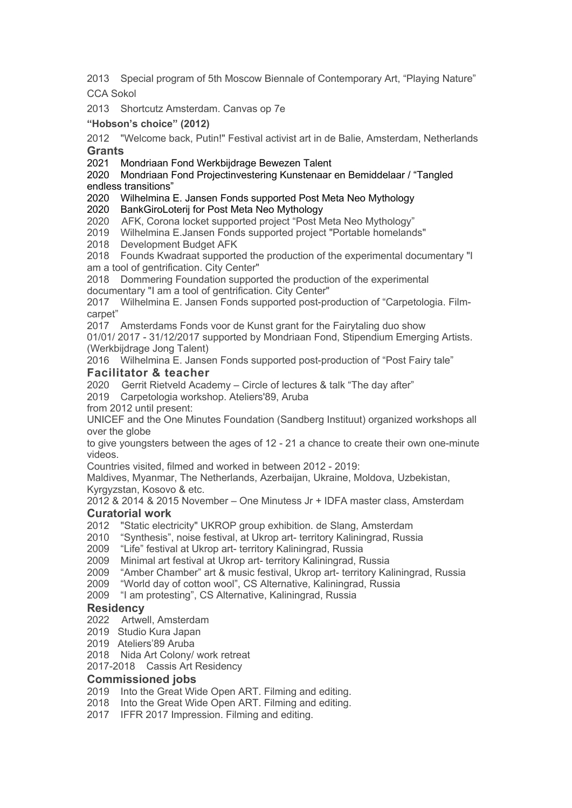2013 Special program of 5th Moscow Biennale of Contemporary Art, "Playing Nature" CCA Sokol

2013 Shortcutz Amsterdam. Canvas op 7e

## **"Hobson's choice" (2012)**

2012 "Welcome back, Putin!" Festival activist art in de Balie, Amsterdam, Netherlands **Grants**

2021 Mondriaan Fond Werkbijdrage Bewezen Talent

#### 2020 Mondriaan Fond Projectinvestering Kunstenaar en Bemiddelaar / "Tangled endless transitions"

2020 Wilhelmina E. Jansen Fonds supported Post Meta Neo Mythology

2020 BankGiroLoterij for Post Meta Neo Mythology

2020 AFK, Corona locket supported project "Post Meta Neo Mythology"

2019 Wilhelmina E.Jansen Fonds supported project "Portable homelands"

2018 Development Budget AFK

2018 Founds Kwadraat supported the production of the experimental documentary "I am a tool of gentrification. City Center"

2018 Dommering Foundation supported the production of the experimental documentary "I am a tool of gentrification. City Center"

2017 Wilhelmina E. Jansen Fonds supported post-production of "Carpetologia. Filmcarpet"

2017 Amsterdams Fonds voor de Kunst grant for the Fairytaling duo show

01/01/ 2017 - 31/12/2017 supported by Mondriaan Fond, Stipendium Emerging Artists. (Werkbijdrage Jong Talent)

2016 Wilhelmina E. Jansen Fonds supported post-production of "Post Fairy tale" **Facilitator & teacher**

2020 Gerrit Rietveld Academy – Circle of lectures & talk "The day after"

2019 Carpetologia workshop. Ateliers'89, Aruba

from 2012 until present:

UNICEF and the One Minutes Foundation (Sandberg Instituut) organized workshops all over the globe

to give youngsters between the ages of 12 - 21 a chance to create their own one-minute videos.

Countries visited, filmed and worked in between 2012 - 2019:

Maldives, Myanmar, The Netherlands, Azerbaijan, Ukraine, Moldova, Uzbekistan, Kyrgyzstan, Kosovo & etc.

2012 & 2014 & 2015 November – One Minutess Jr + IDFA master class, Amsterdam

# **Curatorial work**

2012 "Static electricity" UKROP group exhibition. de Slang, Amsterdam

2010 "Synthesis", noise festival, at Ukrop art- territory Kaliningrad, Russia

2009 "Life" festival at Ukrop art- territory Kaliningrad, Russia

2009 Minimal art festival at Ukrop art- territory Kaliningrad, Russia

2009 "Amber Chamber" art & music festival, Ukrop art- territory Kaliningrad, Russia

2009 "World day of cotton wool", CS Alternative, Kaliningrad, Russia

2009 "I am protesting", CS Alternative, Kaliningrad, Russia

# **Residency**

2022 Artwell, Amsterdam

- 2019 Studio Kura Japan
- 2019 Ateliers'89 Aruba

2018 Nida Art Colony/ work retreat

2017-2018 Cassis Art Residency

# **Commissioned jobs**

- 2019 Into the Great Wide Open ART. Filming and editing.
- 2018 Into the Great Wide Open ART. Filming and editing.

2017 IFFR 2017 Impression. Filming and editing.